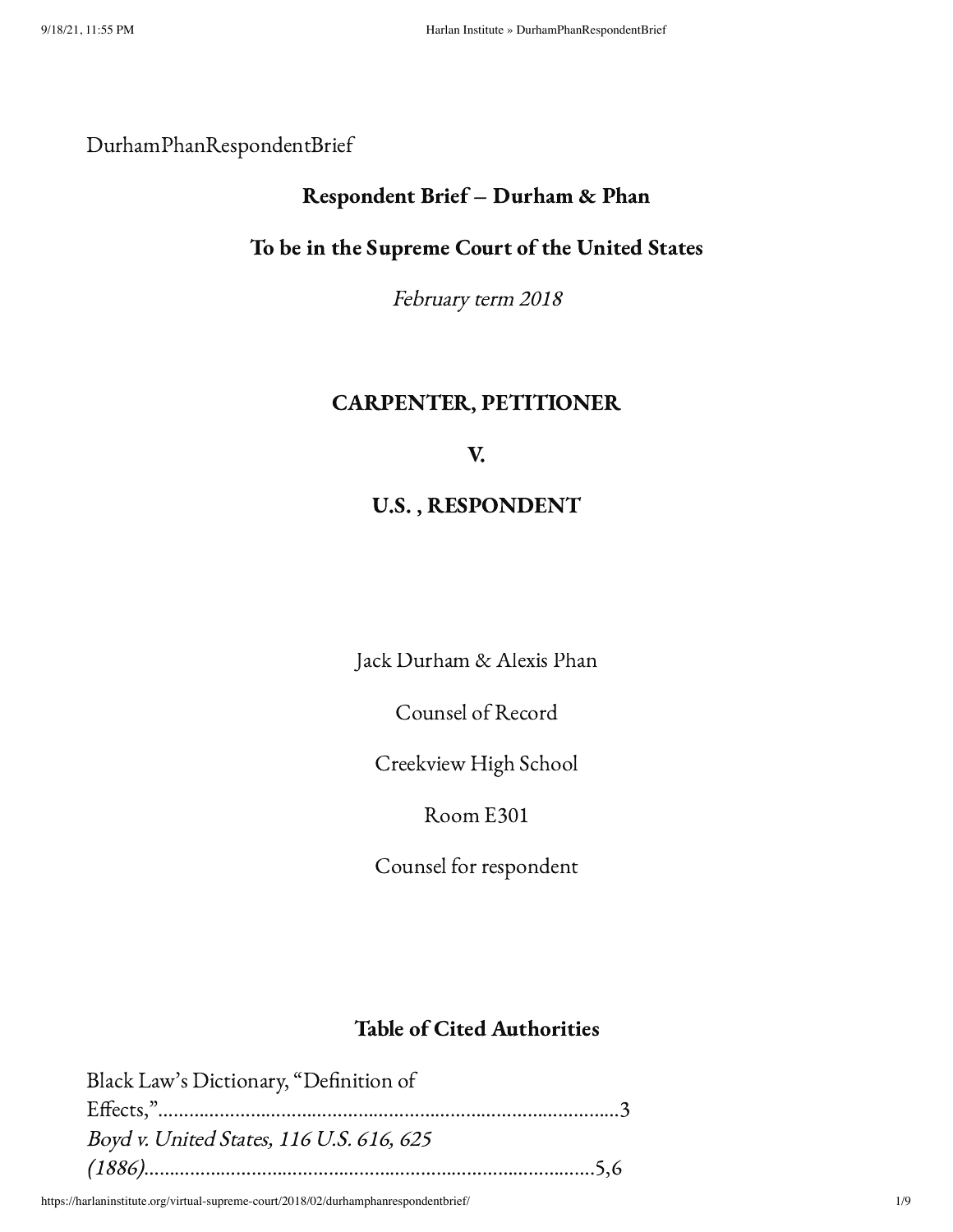### DurhamPhanRespondentBrief

### Respondent Brief – Durham & Phan

#### To be in the Supreme Court of the United States

February term <sup>2018</sup>

### CARPENTER, PETITIONER

### V.

## U.S. , RESPONDENT

Jack Durham & Alexis Phan

Counsel of Record

Creekview High School

Room E301

Counsel for respondent

## Table of Cited Authorities

| Black Law's Dictionary, "Definition of   |  |
|------------------------------------------|--|
|                                          |  |
| Boyd v. United States, 116 U.S. 616, 625 |  |
|                                          |  |

https://harlaninstitute.org/virtual-supreme-court/2018/02/durhamphanrespondentbrief/ 1/9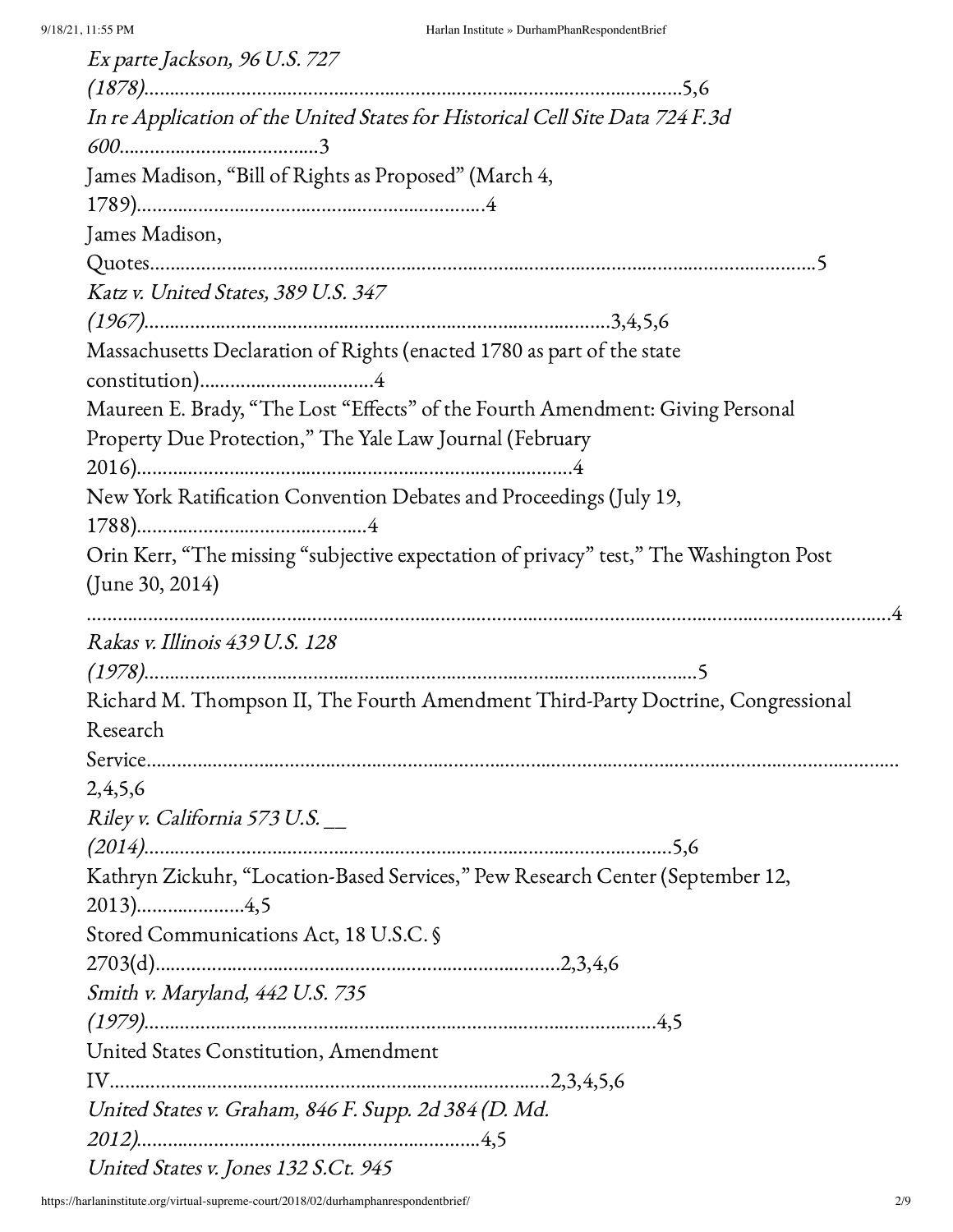| Ex parte Jackson, 96 U.S. 727                                                          |
|----------------------------------------------------------------------------------------|
|                                                                                        |
| In re Application of the United States for Historical Cell Site Data 724 F.3d          |
|                                                                                        |
| James Madison, "Bill of Rights as Proposed" (March 4,                                  |
|                                                                                        |
| James Madison,                                                                         |
|                                                                                        |
| Katz v. United States, 389 U.S. 347                                                    |
|                                                                                        |
| Massachusetts Declaration of Rights (enacted 1780 as part of the state                 |
|                                                                                        |
| Maureen E. Brady, "The Lost "Effects" of the Fourth Amendment: Giving Personal         |
| Property Due Protection," The Yale Law Journal (February                               |
|                                                                                        |
| New York Ratification Convention Debates and Proceedings (July 19,                     |
|                                                                                        |
| Orin Kerr, "The missing "subjective expectation of privacy" test," The Washington Post |
| (June 30, 2014)                                                                        |
|                                                                                        |
| Rakas v. Illinois 439 U.S. 128                                                         |
|                                                                                        |
| Richard M. Thompson II, The Fourth Amendment Third-Party Doctrine, Congressional       |
| Research                                                                               |
|                                                                                        |
| 2,4,5,6                                                                                |
| Riley v. California 573 U.S.                                                           |
|                                                                                        |
| Kathryn Zickuhr, "Location-Based Services," Pew Research Center (September 12,         |
|                                                                                        |
| Stored Communications Act, 18 U.S.C. §                                                 |
|                                                                                        |
| Smith v. Maryland, 442 U.S. 735                                                        |
|                                                                                        |
| United States Constitution, Amendment                                                  |
|                                                                                        |
| United States v. Graham, 846 F. Supp. 2d 384 (D. Md.                                   |
|                                                                                        |
|                                                                                        |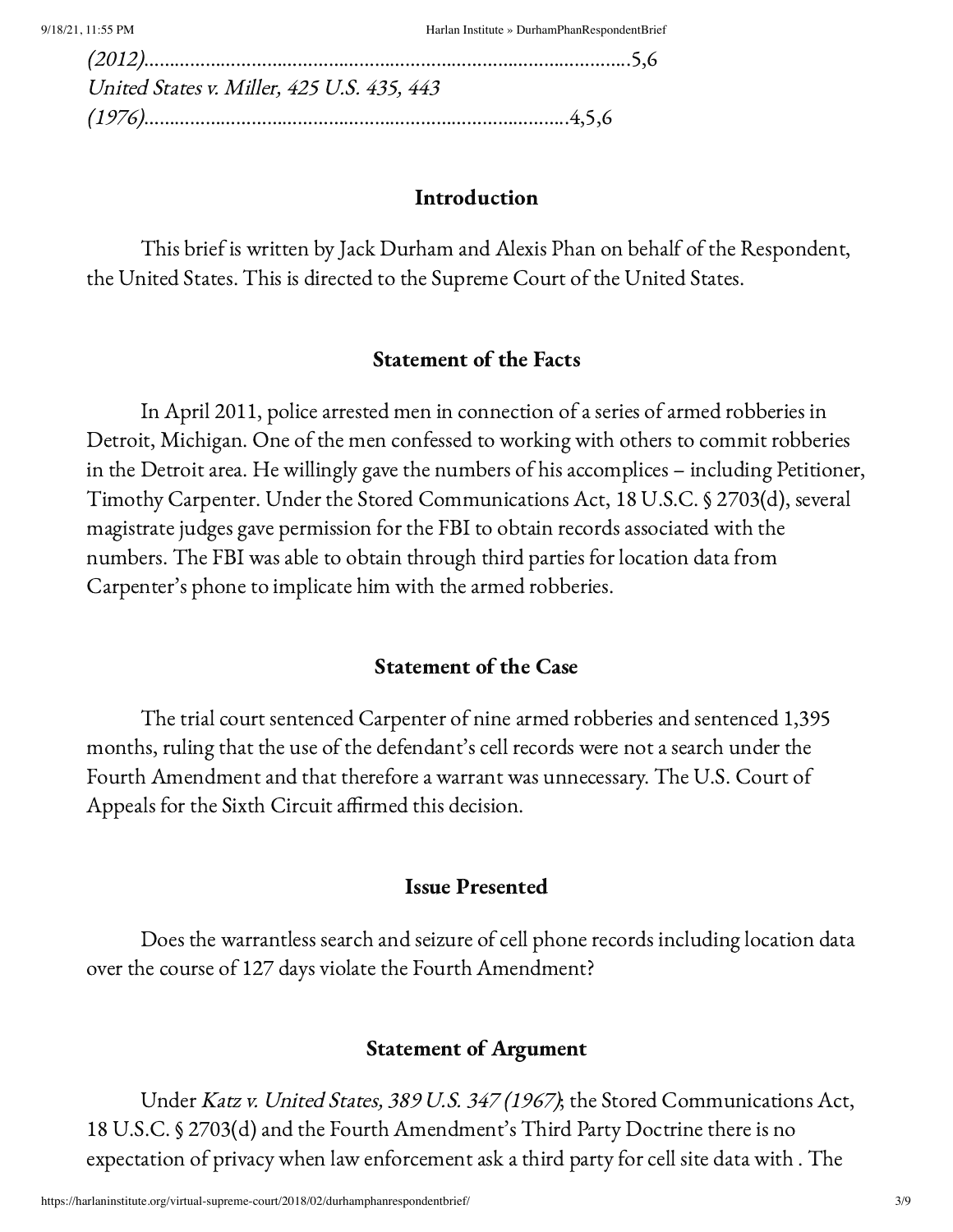| United States v. Miller, 425 U.S. 435, 443 |  |
|--------------------------------------------|--|
|                                            |  |

#### Introduction

This brief is written by Jack Durham and Alexis Phan on behalf of the Respondent, the United States. This is directed to the Supreme Court of the United States.

#### Statement of the Facts

In April 2011, police arrested men in connection of a series of armed robberies in Detroit, Michigan. One of the men confessed to working with others to commit robberies in the Detroit area. He willingly gave the numbers of his accomplices – including Petitioner, Timothy Carpenter. Under the Stored Communications Act, 18 U.S.C. § 2703(d), several magistrate judges gave permission for the FBI to obtain records associated with the numbers. The FBI was able to obtain through third parties for location data from Carpenter's phone to implicate him with the armed robberies.

#### Statement of the Case

The trial court sentenced Carpenter of nine armed robberies and sentenced 1,395 months, ruling that the use of the defendant's cell records were not a search under the Fourth Amendment and that therefore a warrant was unnecessary. The U.S. Court of Appeals for the Sixth Circuit affirmed this decision.

#### Issue Presented

Does the warrantless search and seizure of cell phone records including location data over the course of 127 days violate the Fourth Amendment?

#### Statement of Argument

Under Katz v. United States, 389 U.S. 347 (1967); the Stored Communications Act, 18 U.S.C. § 2703(d) and the Fourth Amendment's Third Party Doctrine there is no expectation of privacy when law enforcement ask a third party for cell site data with . The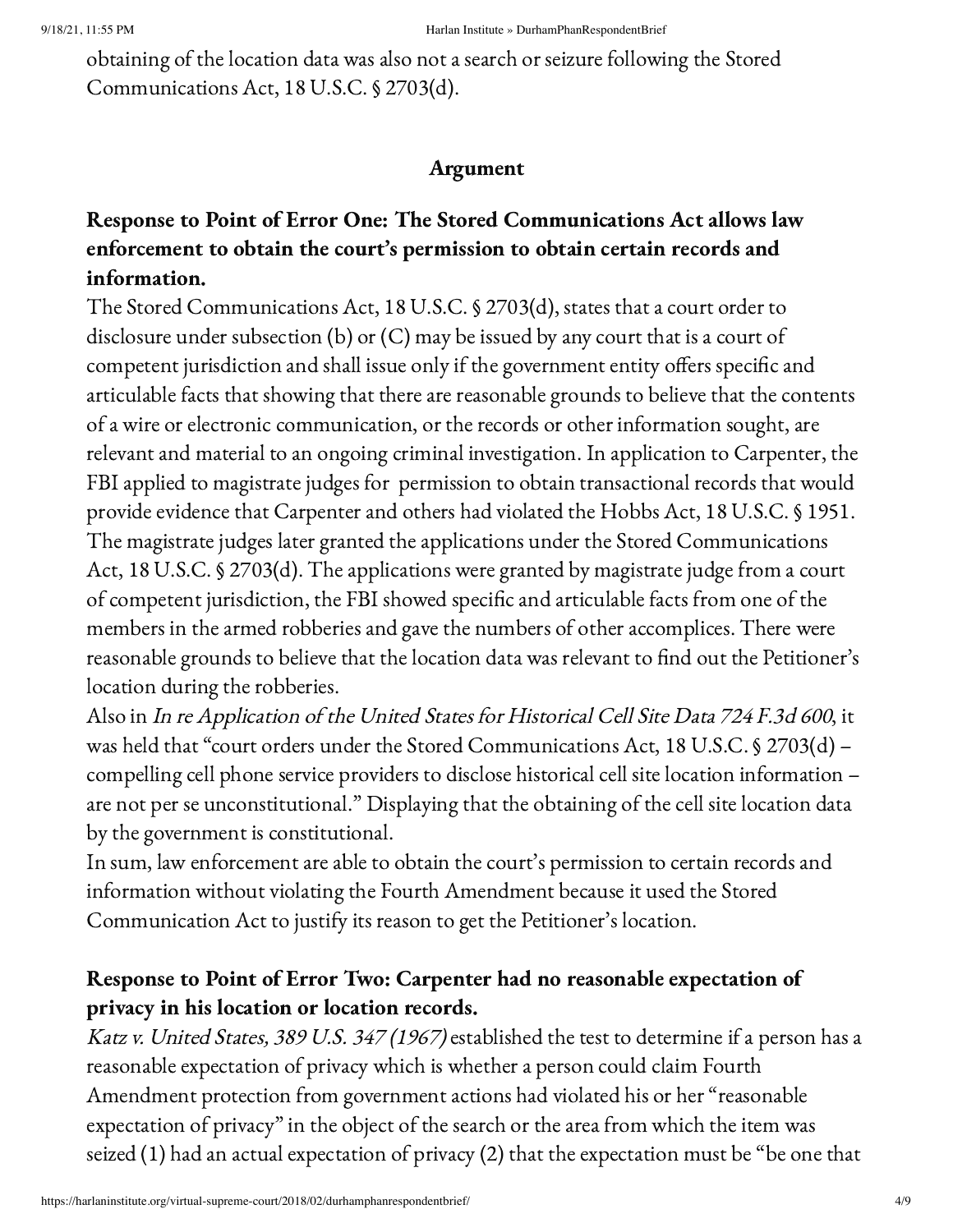obtaining of the location data was also not a search or seizure following the Stored Communications Act, 18 U.S.C. § 2703(d).

# Argument

# Response to Point of Error One: The Stored Communications Act allows law enforcement to obtain the court's permission to obtain certain records and information.

The Stored Communications Act, 18 U.S.C. § 2703(d), states that a court order to disclosure under subsection (b) or (C) may be issued by any court that is a court of competent jurisdiction and shall issue only if the government entity offers specific and articulable facts that showing that there are reasonable grounds to believe that the contents of a wire or electronic communication, or the records or other information sought, are relevant and material to an ongoing criminal investigation. In application to Carpenter, the FBI applied to magistrate judges for permission to obtain transactional records that would provide evidence that Carpenter and others had violated the Hobbs Act, 18 U.S.C. § 1951. The magistrate judges later granted the applications under the Stored Communications Act, 18 U.S.C. § 2703(d). The applications were granted by magistrate judge from a court of competent jurisdiction, the FBI showed specific and articulable facts from one of the members in the armed robberies and gave the numbers of other accomplices. There were reasonable grounds to believe that the location data was relevant to find out the Petitioner's location during the robberies.

Also in In re Application of the United States for Historical Cell Site Data <sup>724</sup> F.3d <sup>600</sup>, it was held that "court orders under the Stored Communications Act, 18 U.S.C. § 2703(d) – compelling cell phone service providers to disclose historical cell site location information – are not per se unconstitutional." Displaying that the obtaining of the cell site location data by the government is constitutional.

In sum, law enforcement are able to obtain the court's permission to certain records and information without violating the Fourth Amendment because it used the Stored Communication Act to justify its reason to get the Petitioner's location.

# Response to Point of Error Two: Carpenter had no reasonable expectation of privacy in his location or location records.

Katz v. United States, 389 U.S. 347 (1967) established the test to determine if a person has a reasonable expectation of privacy which is whether a person could claim Fourth Amendment protection from government actions had violated his or her "reasonable expectation of privacy" in the object of the search or the area from which the item was seized (1) had an actual expectation of privacy (2) that the expectation must be "be one that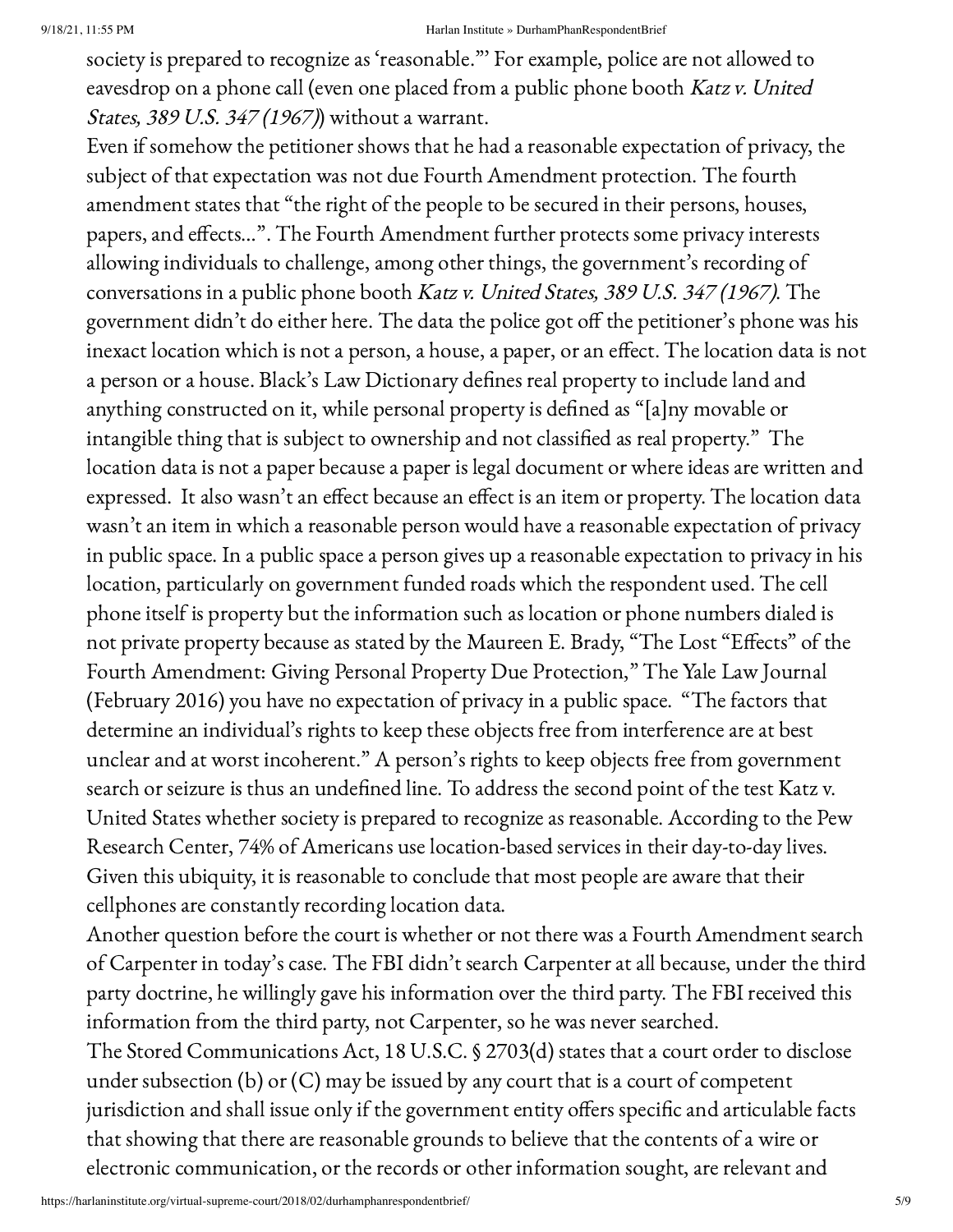society is prepared to recognize as 'reasonable."' For example, police are not allowed to eavesdrop on a phone call (even one placed from a public phone booth Katz v. United States, 389 U.S. 347 (1967)) without a warrant.

Even if somehow the petitioner shows that he had a reasonable expectation of privacy, the subject of that expectation was not due Fourth Amendment protection. The fourth amendment states that "the right of the people to be secured in their persons, houses, papers, and effects…". The Fourth Amendment further protects some privacy interests allowing individuals to challenge, among other things, the government's recording of conversations in a public phone booth Katz v. United States, 389 U.S. 347 (1967). The government didn't do either here. The data the police got off the petitioner's phone was his inexact location which is not a person, a house, a paper, or an effect. The location data is not a person or a house. Black's Law Dictionary defines real property to include land and anything constructed on it, while personal property is defined as "[a]ny movable or intangible thing that is subject to ownership and not classified as real property." The location data is not a paper because a paper is legal document or where ideas are written and expressed. It also wasn't an effect because an effect is an item or property. The location data wasn't an item in which a reasonable person would have a reasonable expectation of privacy in public space. In a public space a person gives up a reasonable expectation to privacy in his location, particularly on government funded roads which the respondent used. The cell phone itself is property but the information such as location or phone numbers dialed is not private property because as stated by the Maureen E. Brady, "The Lost "Effects" of the Fourth Amendment: Giving Personal Property Due Protection," The Yale Law Journal (February 2016) you have no expectation of privacy in a public space. "The factors that determine an individual's rights to keep these objects free from interference are at best unclear and at worst incoherent." A person's rights to keep objects free from government search or seizure is thus an undefined line. To address the second point of the test Katz v. United States whether society is prepared to recognize as reasonable. According to the Pew Research Center, 74% of Americans use location-based services in their day-to-day lives. Given this ubiquity, it is reasonable to conclude that most people are aware that their cellphones are constantly recording location data.

Another question before the court is whether or not there was a Fourth Amendment search of Carpenter in today's case. The FBI didn't search Carpenter at all because, under the third party doctrine, he willingly gave his information over the third party. The FBI received this information from the third party, not Carpenter, so he was never searched. The Stored Communications Act, 18 U.S.C. § 2703(d) states that a court order to disclose under subsection (b) or (C) may be issued by any court that is a court of competent jurisdiction and shall issue only if the government entity offers specific and articulable facts that showing that there are reasonable grounds to believe that the contents of a wire or electronic communication, or the records or other information sought, are relevant and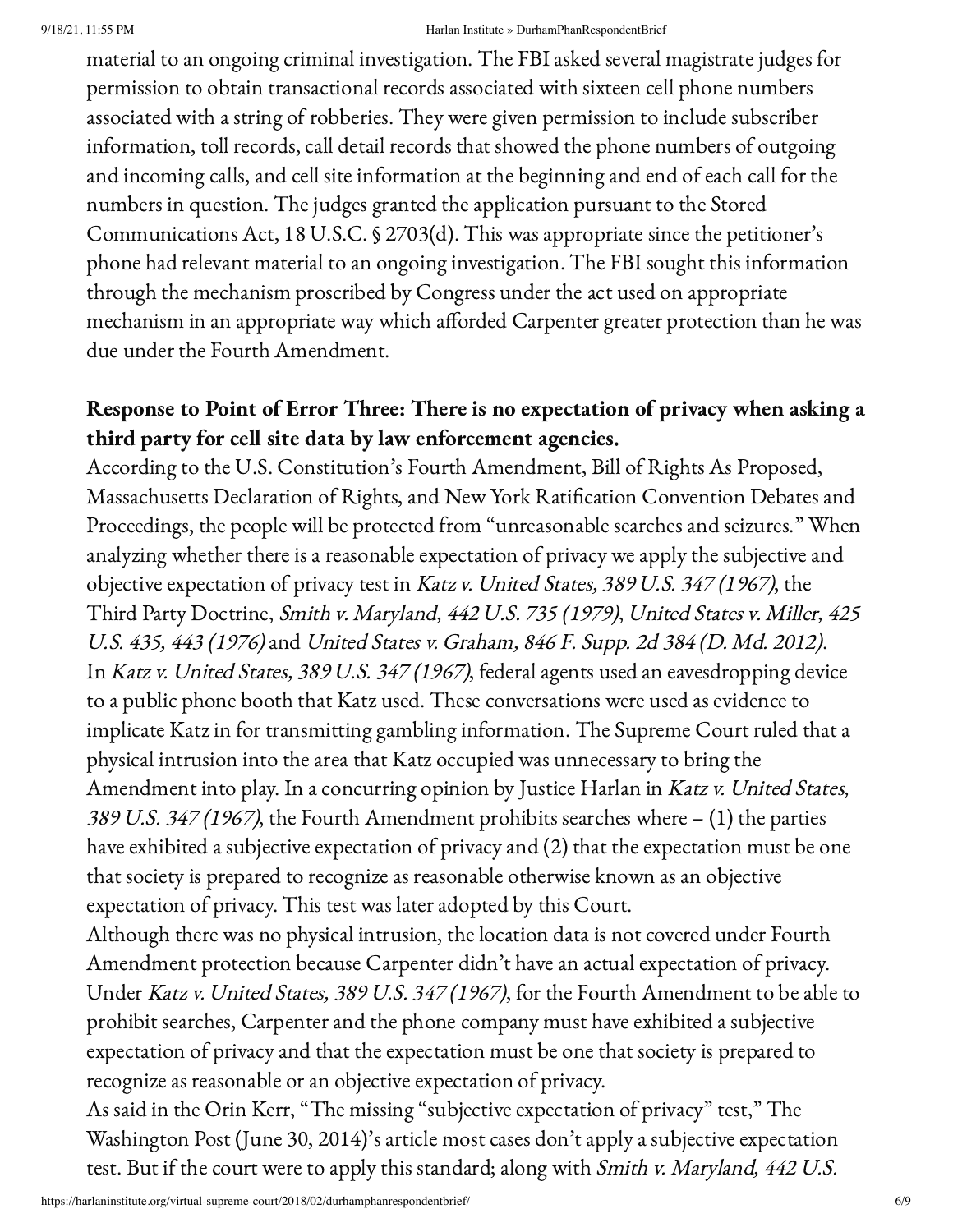#### 9/18/21, 11:55 PM Harlan Institute » DurhamPhanRespondentBrief

material to an ongoing criminal investigation. The FBI asked several magistrate judges for permission to obtain transactional records associated with sixteen cell phone numbers associated with a string of robberies. They were given permission to include subscriber information, toll records, call detail records that showed the phone numbers of outgoing and incoming calls, and cell site information at the beginning and end of each call for the numbers in question. The judges granted the application pursuant to the Stored Communications Act, 18 U.S.C. § 2703(d). This was appropriate since the petitioner's phone had relevant material to an ongoing investigation. The FBI sought this information through the mechanism proscribed by Congress under the act used on appropriate mechanism in an appropriate way which afforded Carpenter greater protection than he was due under the Fourth Amendment.

# Response to Point of Error Three: There is no expectation of privacy when asking a third party for cell site data by law enforcement agencies.

According to the U.S. Constitution's Fourth Amendment, Bill of Rights As Proposed, Massachusetts Declaration of Rights, and New York Ratification Convention Debates and Proceedings, the people will be protected from "unreasonable searches and seizures." When analyzing whether there is a reasonable expectation of privacy we apply the subjective and objective expectation of privacy test in Katz v. United States, 389 U.S. 347 (1967), the Third Party Doctrine, Smith v. Maryland, 442 U.S. 735 (1979), United States v. Miller, 425 U.S. 435, 443 (1976)and United States v. Graham, 846 F. Supp. 2d <sup>384</sup> (D. Md. 2012). In Katz v. United States, 389 U.S. 347 (1967), federal agents used an eavesdropping device to a public phone booth that Katz used. These conversations were used as evidence to implicate Katz in for transmitting gambling information. The Supreme Court ruled that a physical intrusion into the area that Katz occupied was unnecessary to bring the Amendment into play. In a concurring opinion by Justice Harlan in Katz v. United States, 389 U.S. 347 (1967), the Fourth Amendment prohibits searches where  $- (1)$  the parties have exhibited a subjective expectation of privacy and (2) that the expectation must be one that society is prepared to recognize as reasonable otherwise known as an objective expectation of privacy. This test was later adopted by this Court.

Although there was no physical intrusion, the location data is not covered under Fourth Amendment protection because Carpenter didn't have an actual expectation of privacy. Under Katz v. United States, 389 U.S. 347 (1967), for the Fourth Amendment to be able to prohibit searches, Carpenter and the phone company must have exhibited a subjective expectation of privacy and that the expectation must be one that society is prepared to recognize as reasonable or an objective expectation of privacy.

As said in the Orin Kerr, "The missing "subjective expectation of privacy" test," The Washington Post (June 30, 2014)'s article most cases don't apply a subjective expectation test. But if the court were to apply this standard; along with Smith v. Maryland, 442 U.S.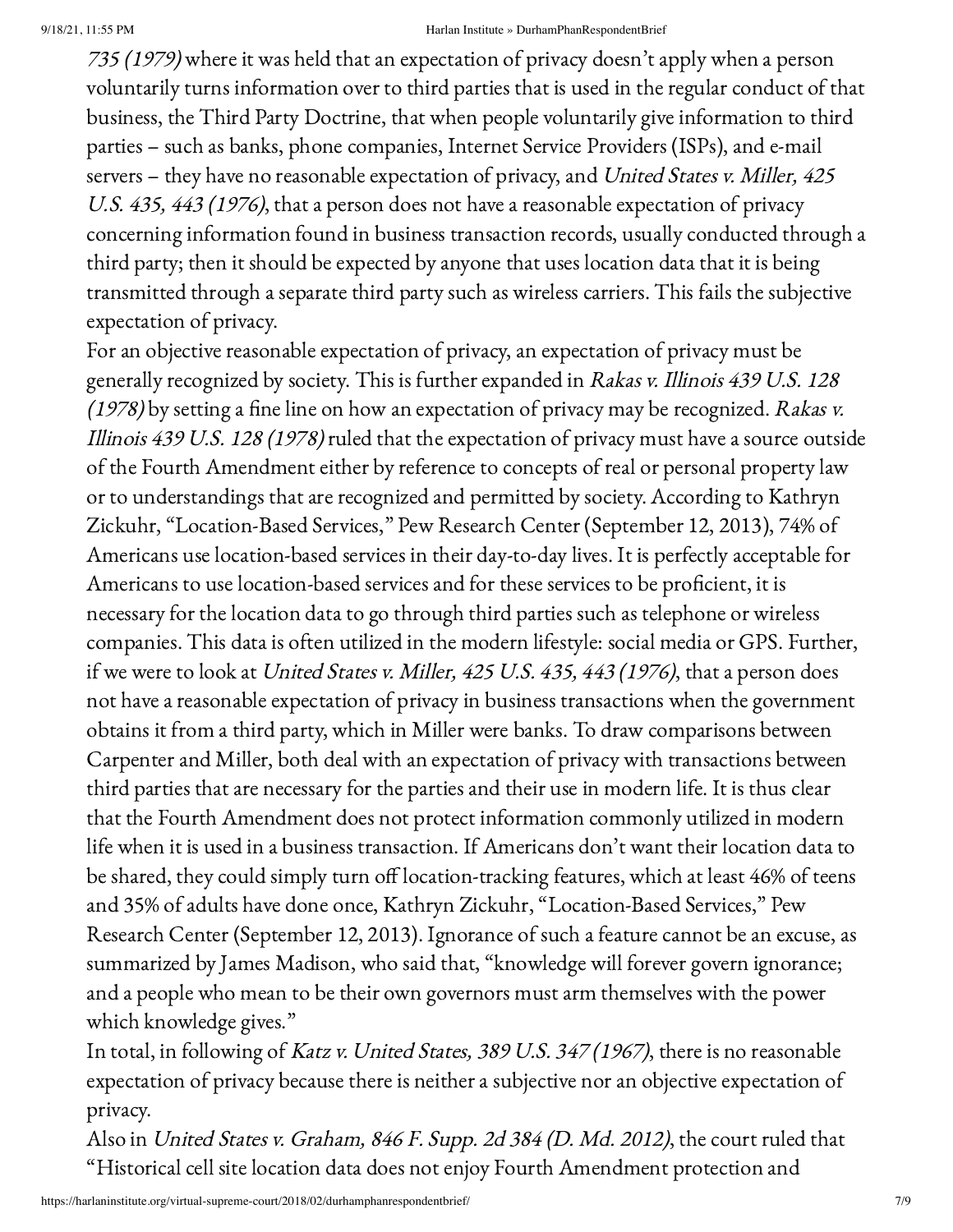#### 9/18/21, 11:55 PM Harlan Institute » DurhamPhanRespondentBrief

<sup>735</sup> (1979) where it was held that an expectation of privacy doesn't apply when a person voluntarily turns information over to third parties that is used in the regular conduct of that business, the Third Party Doctrine, that when people voluntarily give information to third parties – such as banks, phone companies, Internet Service Providers (ISPs), and e-mail servers – they have no reasonable expectation of privacy, and United States v. Miller, 425 U.S. 435, 443 (1976), that a person does not have a reasonable expectation of privacy concerning information found in business transaction records, usually conducted through a third party; then it should be expected by anyone that uses location data that it is being transmitted through a separate third party such as wireless carriers. This fails the subjective expectation of privacy.

For an objective reasonable expectation of privacy, an expectation of privacy must be generally recognized by society. This is further expanded in Rakas v. Illinois <sup>439</sup> U.S. 128 (1978) by setting a fine line on how an expectation of privacy may be recognized. Rakas v. Illinois 439 U.S. 128 (1978) ruled that the expectation of privacy must have a source outside of the Fourth Amendment either by reference to concepts of real or personal property law or to understandings that are recognized and permitted by society. According to Kathryn Zickuhr, "Location-Based Services," Pew Research Center (September 12, 2013), 74% of Americans use location-based services in their day-to-day lives. It is perfectly acceptable for Americans to use location-based services and for these services to be proficient, it is necessary for the location data to go through third parties such as telephone or wireless companies. This data is often utilized in the modern lifestyle: social media or GPS. Further, if we were to look at United States v. Miller, 425 U.S. 435, 443 (1976), that a person does not have a reasonable expectation of privacy in business transactions when the government obtains it from a third party, which in Miller were banks. To draw comparisons between Carpenter and Miller, both deal with an expectation of privacy with transactions between third parties that are necessary for the parties and their use in modern life. It is thus clear that the Fourth Amendment does not protect information commonly utilized in modern life when it is used in a business transaction. If Americans don't want their location data to be shared, they could simply turn off location-tracking features, which at least 46% of teens and 35% of adults have done once, Kathryn Zickuhr, "Location-Based Services," Pew Research Center (September 12, 2013). Ignorance of such a feature cannot be an excuse, as summarized by James Madison, who said that, "knowledge will forever govern ignorance; and a people who mean to be their own governors must arm themselves with the power which knowledge gives."

In total, in following of Katz v. United States, 389 U.S. 347 (1967), there is no reasonable expectation of privacy because there is neither a subjective nor an objective expectation of privacy.

Also in United States v. Graham, 846 F. Supp. 2d <sup>384</sup> (D. Md. 2012), the court ruled that "Historical cell site location data does not enjoy Fourth Amendment protection and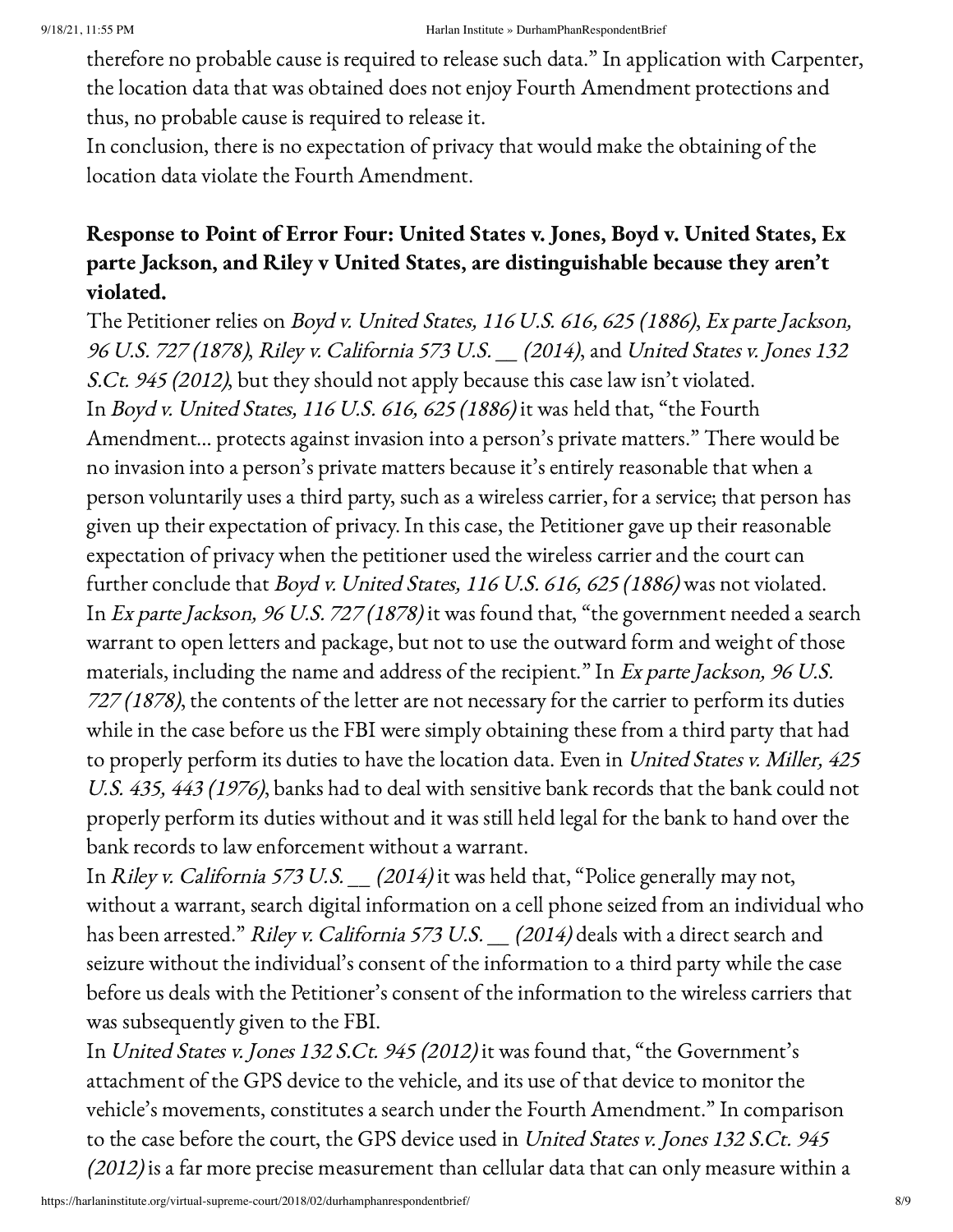therefore no probable cause is required to release such data." In application with Carpenter, the location data that was obtained does not enjoy Fourth Amendment protections and thus, no probable cause is required to release it.

In conclusion, there is no expectation of privacy that would make the obtaining of the location data violate the Fourth Amendment.

# Response to Point of Error Four: United States v. Jones, Boyd v. United States, Ex parte Jackson, and Riley v United States, are distinguishable because they aren't violated.

The Petitioner relies on Boyd v. United States, 116 U.S. 616, <sup>625</sup> (1886), Ex parte Jackson, <sup>96</sup> U.S. 727 (1878), Riley v. California <sup>573</sup> U.S. \_\_ (2014), and United States v. Jones <sup>132</sup> S.Ct. 945 (2012), but they should not apply because this case law isn't violated. In Boyd v. United States, 116 U.S. 616, <sup>625</sup> (1886) it was held that, "the Fourth Amendment… protects against invasion into a person's private matters." There would be no invasion into a person's private matters because it's entirely reasonable that when a person voluntarily uses a third party, such as a wireless carrier, for a service; that person has given up their expectation of privacy. In this case, the Petitioner gave up their reasonable expectation of privacy when the petitioner used the wireless carrier and the court can further conclude that Boyd v. United States, 116 U.S. 616, 625 (1886) was not violated. In Ex parte Jackson, 96 U.S. 727 (1878) it was found that, "the government needed a search warrant to open letters and package, but not to use the outward form and weight of those materials, including the name and address of the recipient." In Ex parte Jackson, 96 U.S.  $727(1878)$ , the contents of the letter are not necessary for the carrier to perform its duties while in the case before us the FBI were simply obtaining these from a third party that had to properly perform its duties to have the location data. Even in United States v. Miller, 425 U.S. 435, 443 (1976), banks had to deal with sensitive bank records that the bank could not properly perform its duties without and it was still held legal for the bank to hand over the bank records to law enforcement without a warrant.

In Riley v. California 573 U.S. \_\_ (2014) it was held that, "Police generally may not, without a warrant, search digital information on a cell phone seized from an individual who has been arrested." Riley v. California 573 U.S. \_\_ (2014) deals with a direct search and seizure without the individual's consent of the information to a third party while the case before us deals with the Petitioner's consent of the information to the wireless carriers that was subsequently given to the FBI.

In United States v. Jones <sup>132</sup> S.Ct. 945 (2012) it was found that, "the Government's attachment of the GPS device to the vehicle, and its use of that device to monitor the vehicle's movements, constitutes a search under the Fourth Amendment." In comparison to the case before the court, the GPS device used in United States v. Jones <sup>132</sup> S.Ct. 945 (2012) is a far more precise measurement than cellular data that can only measure within a